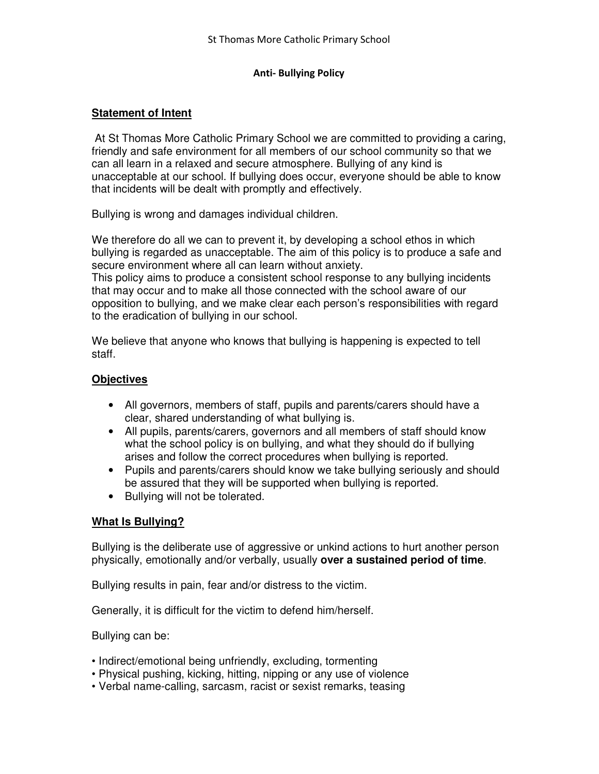#### **Anti- Bullying Policy**

## **Statement of Intent**

 At St Thomas More Catholic Primary School we are committed to providing a caring, friendly and safe environment for all members of our school community so that we can all learn in a relaxed and secure atmosphere. Bullying of any kind is unacceptable at our school. If bullying does occur, everyone should be able to know that incidents will be dealt with promptly and effectively.

Bullying is wrong and damages individual children.

We therefore do all we can to prevent it, by developing a school ethos in which bullying is regarded as unacceptable. The aim of this policy is to produce a safe and secure environment where all can learn without anxiety.

This policy aims to produce a consistent school response to any bullying incidents that may occur and to make all those connected with the school aware of our opposition to bullying, and we make clear each person's responsibilities with regard to the eradication of bullying in our school.

We believe that anyone who knows that bullying is happening is expected to tell staff.

## **Objectives**

- All governors, members of staff, pupils and parents/carers should have a clear, shared understanding of what bullying is.
- All pupils, parents/carers, governors and all members of staff should know what the school policy is on bullying, and what they should do if bullying arises and follow the correct procedures when bullying is reported.
- Pupils and parents/carers should know we take bullying seriously and should be assured that they will be supported when bullying is reported.
- Bullying will not be tolerated.

## **What Is Bullying?**

Bullying is the deliberate use of aggressive or unkind actions to hurt another person physically, emotionally and/or verbally, usually **over a sustained period of time**.

Bullying results in pain, fear and/or distress to the victim.

Generally, it is difficult for the victim to defend him/herself.

Bullying can be:

- Indirect/emotional being unfriendly, excluding, tormenting
- Physical pushing, kicking, hitting, nipping or any use of violence
- Verbal name-calling, sarcasm, racist or sexist remarks, teasing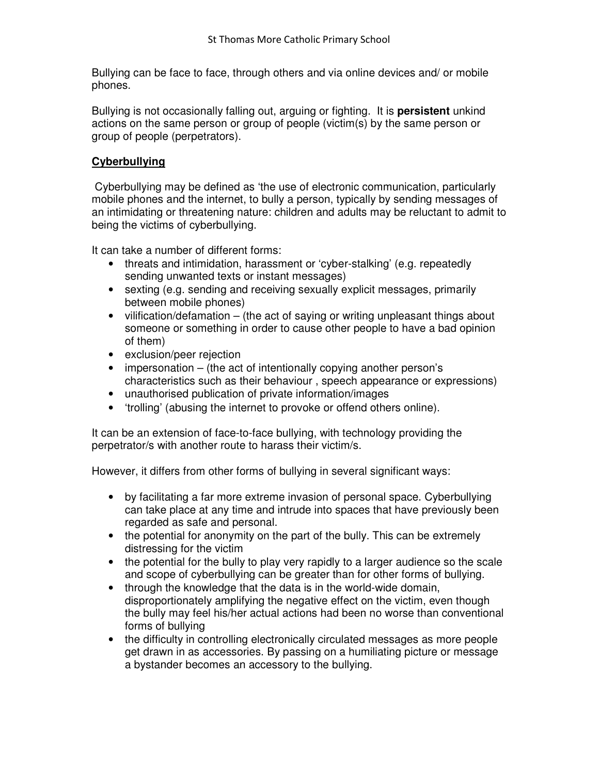Bullying can be face to face, through others and via online devices and/ or mobile phones.

Bullying is not occasionally falling out, arguing or fighting. It is **persistent** unkind actions on the same person or group of people (victim(s) by the same person or group of people (perpetrators).

## **Cyberbullying**

 Cyberbullying may be defined as 'the use of electronic communication, particularly mobile phones and the internet, to bully a person, typically by sending messages of an intimidating or threatening nature: children and adults may be reluctant to admit to being the victims of cyberbullying.

It can take a number of different forms:

- threats and intimidation, harassment or 'cyber-stalking' (e.g. repeatedly sending unwanted texts or instant messages)
- sexting (e.g. sending and receiving sexually explicit messages, primarily between mobile phones)
- vilification/defamation (the act of saying or writing unpleasant things about someone or something in order to cause other people to have a bad opinion of them)
- exclusion/peer rejection
- impersonation (the act of intentionally copying another person's characteristics such as their behaviour , speech appearance or expressions)
- unauthorised publication of private information/images
- 'trolling' (abusing the internet to provoke or offend others online).

It can be an extension of face-to-face bullying, with technology providing the perpetrator/s with another route to harass their victim/s.

However, it differs from other forms of bullying in several significant ways:

- by facilitating a far more extreme invasion of personal space. Cyberbullying can take place at any time and intrude into spaces that have previously been regarded as safe and personal.
- the potential for anonymity on the part of the bully. This can be extremely distressing for the victim
- the potential for the bully to play very rapidly to a larger audience so the scale and scope of cyberbullying can be greater than for other forms of bullying.
- through the knowledge that the data is in the world-wide domain, disproportionately amplifying the negative effect on the victim, even though the bully may feel his/her actual actions had been no worse than conventional forms of bullying
- the difficulty in controlling electronically circulated messages as more people get drawn in as accessories. By passing on a humiliating picture or message a bystander becomes an accessory to the bullying.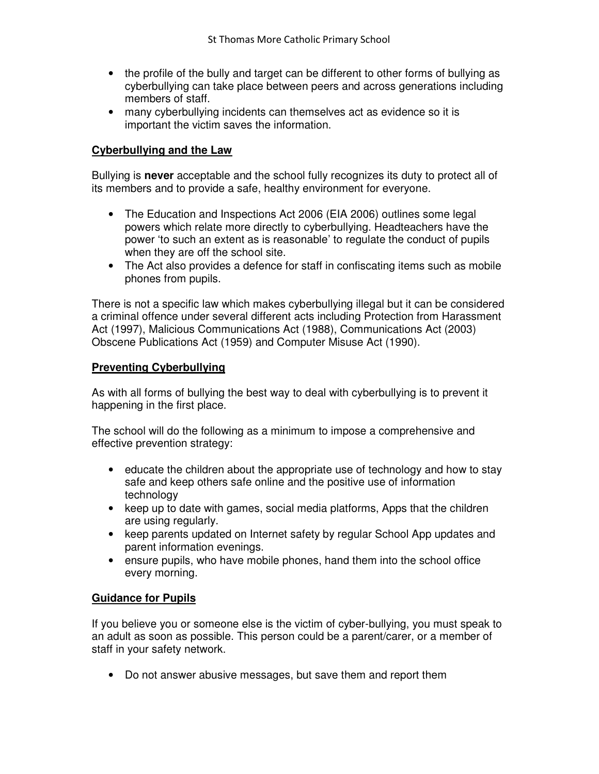- the profile of the bully and target can be different to other forms of bullying as cyberbullying can take place between peers and across generations including members of staff.
- many cyberbullying incidents can themselves act as evidence so it is important the victim saves the information.

## **Cyberbullying and the Law**

Bullying is **never** acceptable and the school fully recognizes its duty to protect all of its members and to provide a safe, healthy environment for everyone.

- The Education and Inspections Act 2006 (EIA 2006) outlines some legal powers which relate more directly to cyberbullying. Headteachers have the power 'to such an extent as is reasonable' to regulate the conduct of pupils when they are off the school site.
- The Act also provides a defence for staff in confiscating items such as mobile phones from pupils.

There is not a specific law which makes cyberbullying illegal but it can be considered a criminal offence under several different acts including Protection from Harassment Act (1997), Malicious Communications Act (1988), Communications Act (2003) Obscene Publications Act (1959) and Computer Misuse Act (1990).

## **Preventing Cyberbullying**

As with all forms of bullying the best way to deal with cyberbullying is to prevent it happening in the first place.

The school will do the following as a minimum to impose a comprehensive and effective prevention strategy:

- educate the children about the appropriate use of technology and how to stay safe and keep others safe online and the positive use of information technology
- keep up to date with games, social media platforms, Apps that the children are using regularly.
- keep parents updated on Internet safety by regular School App updates and parent information evenings.
- ensure pupils, who have mobile phones, hand them into the school office every morning.

## **Guidance for Pupils**

If you believe you or someone else is the victim of cyber-bullying, you must speak to an adult as soon as possible. This person could be a parent/carer, or a member of staff in your safety network.

• Do not answer abusive messages, but save them and report them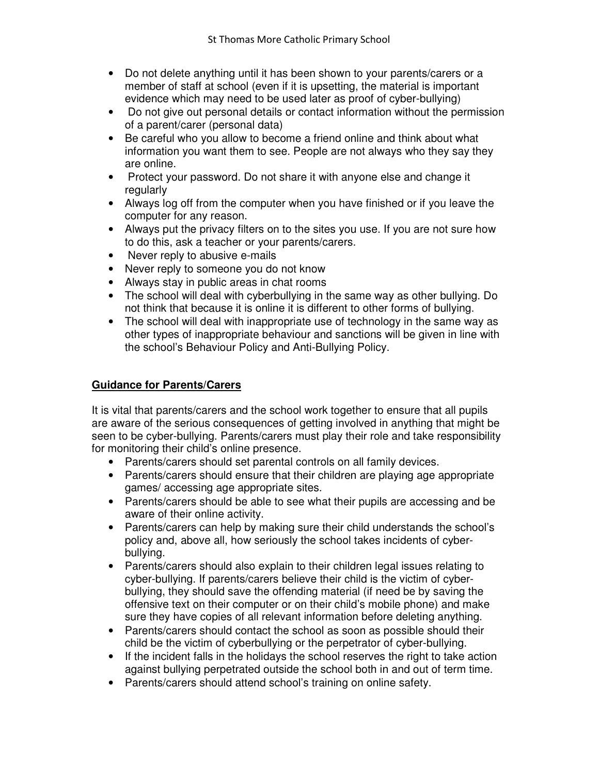- Do not delete anything until it has been shown to your parents/carers or a member of staff at school (even if it is upsetting, the material is important evidence which may need to be used later as proof of cyber-bullying)
- Do not give out personal details or contact information without the permission of a parent/carer (personal data)
- Be careful who you allow to become a friend online and think about what information you want them to see. People are not always who they say they are online.
- Protect your password. Do not share it with anyone else and change it regularly
- Always log off from the computer when you have finished or if you leave the computer for any reason.
- Always put the privacy filters on to the sites you use. If you are not sure how to do this, ask a teacher or your parents/carers.
- Never reply to abusive e-mails
- Never reply to someone you do not know
- Always stay in public areas in chat rooms
- The school will deal with cyberbullying in the same way as other bullying. Do not think that because it is online it is different to other forms of bullying.
- The school will deal with inappropriate use of technology in the same way as other types of inappropriate behaviour and sanctions will be given in line with the school's Behaviour Policy and Anti-Bullying Policy.

# **Guidance for Parents/Carers**

It is vital that parents/carers and the school work together to ensure that all pupils are aware of the serious consequences of getting involved in anything that might be seen to be cyber-bullying. Parents/carers must play their role and take responsibility for monitoring their child's online presence.

- Parents/carers should set parental controls on all family devices.
- Parents/carers should ensure that their children are playing age appropriate games/ accessing age appropriate sites.
- Parents/carers should be able to see what their pupils are accessing and be aware of their online activity.
- Parents/carers can help by making sure their child understands the school's policy and, above all, how seriously the school takes incidents of cyberbullying.
- Parents/carers should also explain to their children legal issues relating to cyber-bullying. If parents/carers believe their child is the victim of cyberbullying, they should save the offending material (if need be by saving the offensive text on their computer or on their child's mobile phone) and make sure they have copies of all relevant information before deleting anything.
- Parents/carers should contact the school as soon as possible should their child be the victim of cyberbullying or the perpetrator of cyber-bullying.
- If the incident falls in the holidays the school reserves the right to take action against bullying perpetrated outside the school both in and out of term time.
- Parents/carers should attend school's training on online safety.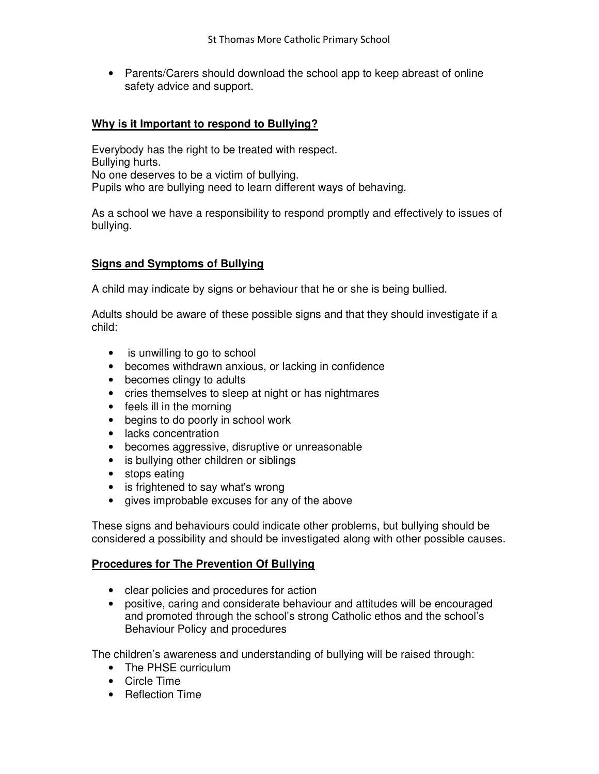• Parents/Carers should download the school app to keep abreast of online safety advice and support.

## **Why is it Important to respond to Bullying?**

Everybody has the right to be treated with respect. Bullying hurts. No one deserves to be a victim of bullying. Pupils who are bullying need to learn different ways of behaving.

As a school we have a responsibility to respond promptly and effectively to issues of bullying.

## **Signs and Symptoms of Bullying**

A child may indicate by signs or behaviour that he or she is being bullied.

Adults should be aware of these possible signs and that they should investigate if a child:

- is unwilling to go to school
- becomes withdrawn anxious, or lacking in confidence
- becomes clingy to adults
- cries themselves to sleep at night or has nightmares
- feels ill in the morning
- begins to do poorly in school work
- lacks concentration
- becomes aggressive, disruptive or unreasonable
- is bullying other children or siblings
- stops eating
- is frightened to say what's wrong
- gives improbable excuses for any of the above

These signs and behaviours could indicate other problems, but bullying should be considered a possibility and should be investigated along with other possible causes.

## **Procedures for The Prevention Of Bullying**

- clear policies and procedures for action
- positive, caring and considerate behaviour and attitudes will be encouraged and promoted through the school's strong Catholic ethos and the school's Behaviour Policy and procedures

The children's awareness and understanding of bullying will be raised through:

- The PHSE curriculum
- Circle Time
- Reflection Time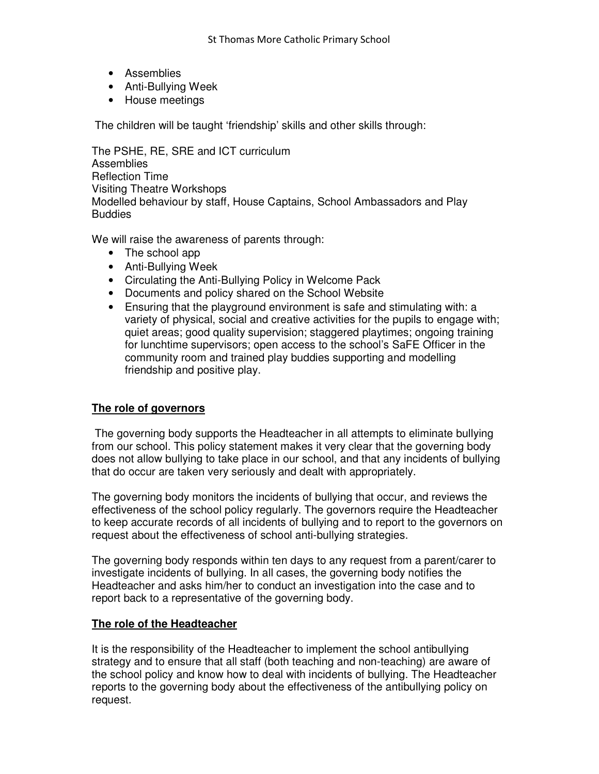- Assemblies
- Anti-Bullying Week
- House meetings

The children will be taught 'friendship' skills and other skills through:

The PSHE, RE, SRE and ICT curriculum **Assemblies** Reflection Time Visiting Theatre Workshops Modelled behaviour by staff, House Captains, School Ambassadors and Play **Buddies** 

We will raise the awareness of parents through:

- The school app
- Anti-Bullying Week
- Circulating the Anti-Bullying Policy in Welcome Pack
- Documents and policy shared on the School Website
- Ensuring that the playground environment is safe and stimulating with: a variety of physical, social and creative activities for the pupils to engage with; quiet areas; good quality supervision; staggered playtimes; ongoing training for lunchtime supervisors; open access to the school's SaFE Officer in the community room and trained play buddies supporting and modelling friendship and positive play.

## **The role of governors**

 The governing body supports the Headteacher in all attempts to eliminate bullying from our school. This policy statement makes it very clear that the governing body does not allow bullying to take place in our school, and that any incidents of bullying that do occur are taken very seriously and dealt with appropriately.

The governing body monitors the incidents of bullying that occur, and reviews the effectiveness of the school policy regularly. The governors require the Headteacher to keep accurate records of all incidents of bullying and to report to the governors on request about the effectiveness of school anti-bullying strategies.

The governing body responds within ten days to any request from a parent/carer to investigate incidents of bullying. In all cases, the governing body notifies the Headteacher and asks him/her to conduct an investigation into the case and to report back to a representative of the governing body.

## **The role of the Headteacher**

It is the responsibility of the Headteacher to implement the school antibullying strategy and to ensure that all staff (both teaching and non-teaching) are aware of the school policy and know how to deal with incidents of bullying. The Headteacher reports to the governing body about the effectiveness of the antibullying policy on request.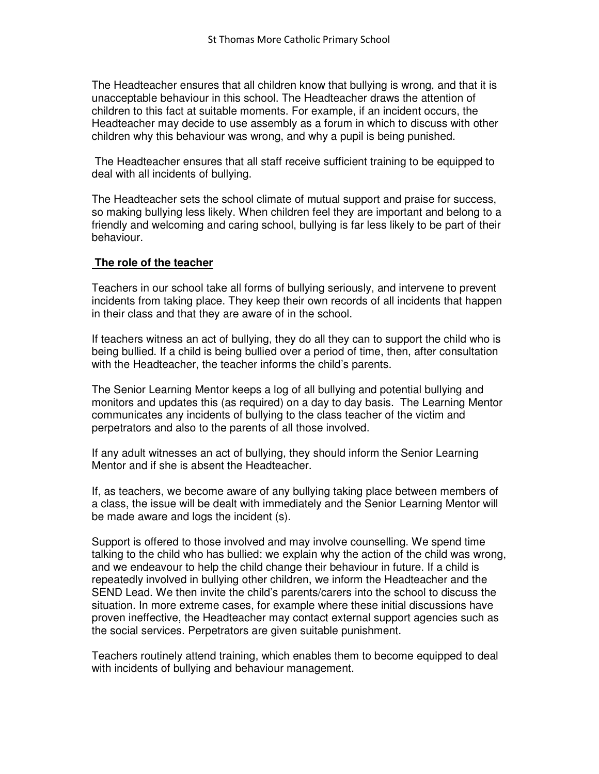The Headteacher ensures that all children know that bullying is wrong, and that it is unacceptable behaviour in this school. The Headteacher draws the attention of children to this fact at suitable moments. For example, if an incident occurs, the Headteacher may decide to use assembly as a forum in which to discuss with other children why this behaviour was wrong, and why a pupil is being punished.

 The Headteacher ensures that all staff receive sufficient training to be equipped to deal with all incidents of bullying.

The Headteacher sets the school climate of mutual support and praise for success, so making bullying less likely. When children feel they are important and belong to a friendly and welcoming and caring school, bullying is far less likely to be part of their behaviour.

## **The role of the teacher**

Teachers in our school take all forms of bullying seriously, and intervene to prevent incidents from taking place. They keep their own records of all incidents that happen in their class and that they are aware of in the school.

If teachers witness an act of bullying, they do all they can to support the child who is being bullied. If a child is being bullied over a period of time, then, after consultation with the Headteacher, the teacher informs the child's parents.

The Senior Learning Mentor keeps a log of all bullying and potential bullying and monitors and updates this (as required) on a day to day basis. The Learning Mentor communicates any incidents of bullying to the class teacher of the victim and perpetrators and also to the parents of all those involved.

If any adult witnesses an act of bullying, they should inform the Senior Learning Mentor and if she is absent the Headteacher.

If, as teachers, we become aware of any bullying taking place between members of a class, the issue will be dealt with immediately and the Senior Learning Mentor will be made aware and logs the incident (s).

Support is offered to those involved and may involve counselling. We spend time talking to the child who has bullied: we explain why the action of the child was wrong, and we endeavour to help the child change their behaviour in future. If a child is repeatedly involved in bullying other children, we inform the Headteacher and the SEND Lead. We then invite the child's parents/carers into the school to discuss the situation. In more extreme cases, for example where these initial discussions have proven ineffective, the Headteacher may contact external support agencies such as the social services. Perpetrators are given suitable punishment.

Teachers routinely attend training, which enables them to become equipped to deal with incidents of bullying and behaviour management.